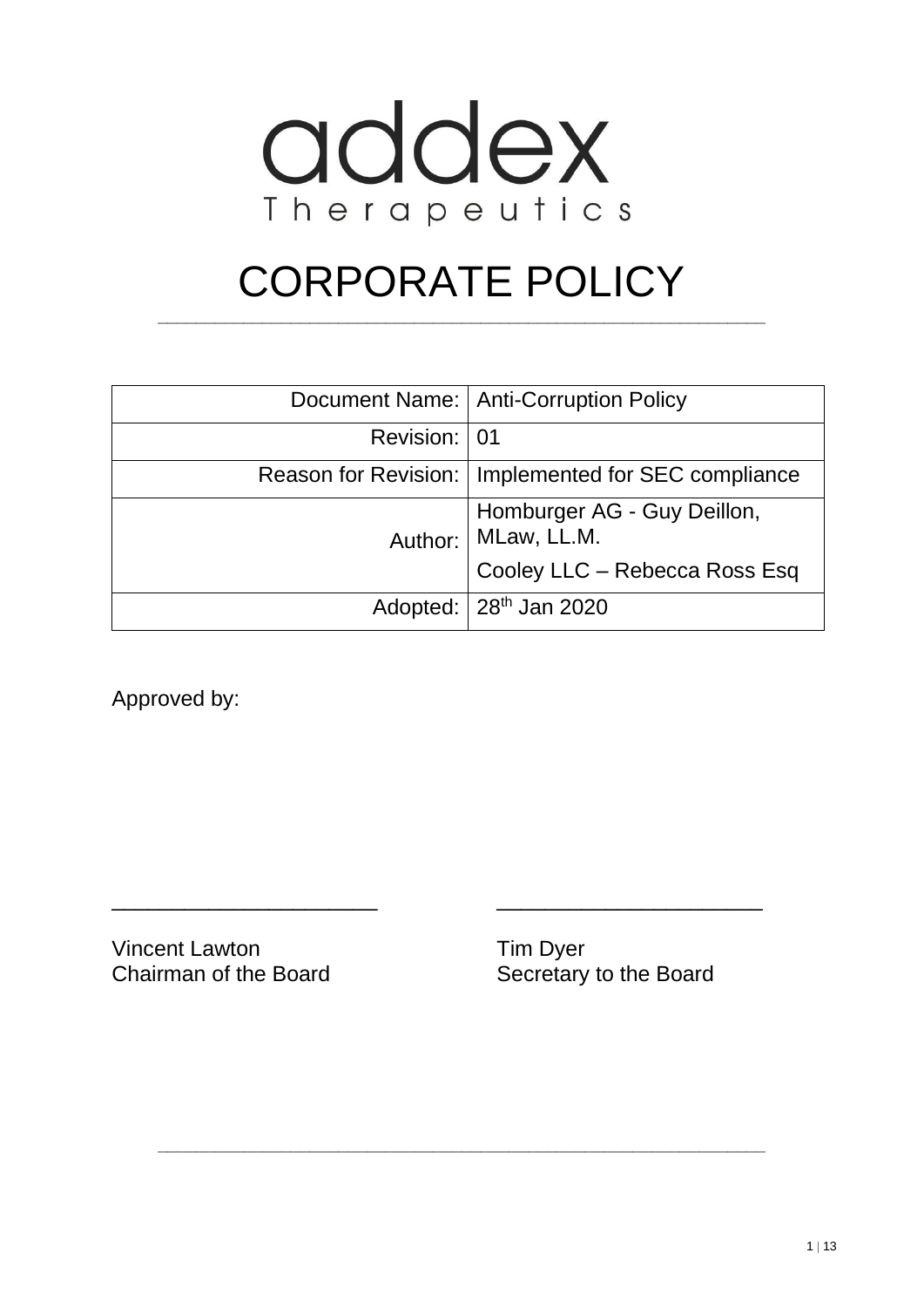

# CORPORATE POLICY

**\_\_\_\_\_\_\_\_\_\_\_\_\_\_\_\_\_\_\_\_\_\_\_\_\_\_\_\_\_\_\_\_\_\_\_\_\_\_\_\_\_\_\_\_\_\_\_\_\_\_\_\_\_\_\_\_\_\_\_\_\_\_\_\_**

|              | Document Name:   Anti-Corruption Policy               |
|--------------|-------------------------------------------------------|
| Revision: 01 |                                                       |
|              | Reason for Revision:   Implemented for SEC compliance |
|              | Homburger AG - Guy Deillon,<br>Author: MLaw, LL.M.    |
|              | Cooley LLC - Rebecca Ross Esq                         |
|              | Adopted:   28 <sup>th</sup> Jan 2020                  |

\_\_\_\_\_\_\_\_\_\_\_\_\_\_\_\_\_\_\_\_\_\_ \_\_\_\_\_\_\_\_\_\_\_\_\_\_\_\_\_\_\_\_\_\_

**\_\_\_\_\_\_\_\_\_\_\_\_\_\_\_\_\_\_\_\_\_\_\_\_\_\_\_\_\_\_\_\_\_\_\_\_\_\_\_\_\_\_\_\_\_\_\_\_\_\_\_\_\_\_\_\_\_\_\_\_\_\_\_\_**

Approved by:

Vincent Lawton Tim Dyer Chairman of the Board Secretary to the Board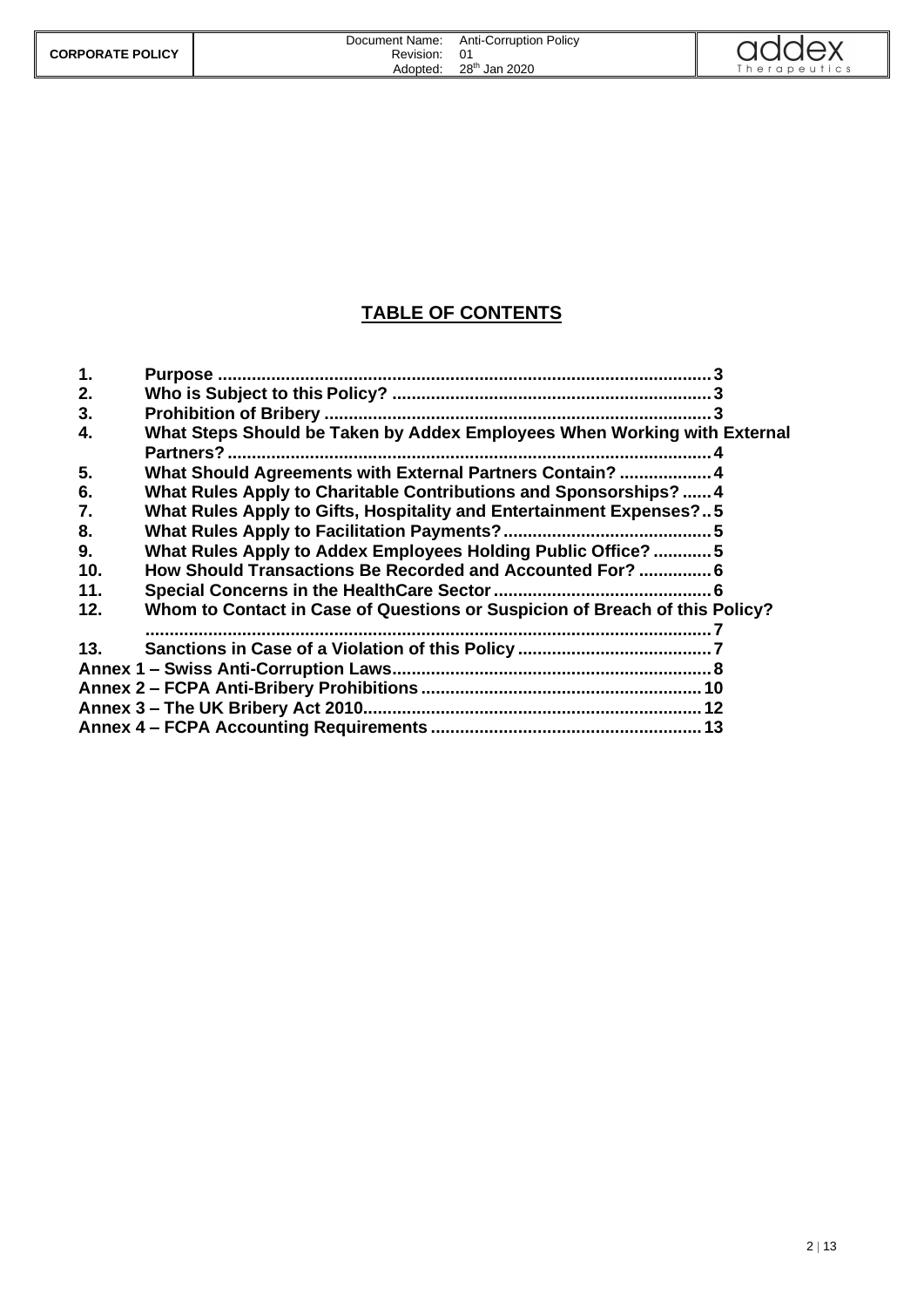|                         | Document Name: | <b>Anti-Corruption Policy</b> | $\bigcap$   |
|-------------------------|----------------|-------------------------------|-------------|
| <b>CORPORATE POLICY</b> | Revision:      | 01                            |             |
|                         | Adopted:       | 28 <sup>th</sup><br>Jan 2020  | herapeutics |

#### **TABLE OF CONTENTS**

| $\mathbf{1}$ . |                                                                             |  |
|----------------|-----------------------------------------------------------------------------|--|
| 2.             |                                                                             |  |
| 3.             |                                                                             |  |
| 4.             | What Steps Should be Taken by Addex Employees When Working with External    |  |
|                | Partners?                                                                   |  |
| 5.             | What Should Agreements with External Partners Contain?  4                   |  |
| 6.             | What Rules Apply to Charitable Contributions and Sponsorships?  4           |  |
| 7.             | What Rules Apply to Gifts, Hospitality and Entertainment Expenses?5         |  |
| 8.             |                                                                             |  |
| 9.             | What Rules Apply to Addex Employees Holding Public Office? 5                |  |
| 10.            | How Should Transactions Be Recorded and Accounted For?  6                   |  |
| 11.            |                                                                             |  |
| 12.            | Whom to Contact in Case of Questions or Suspicion of Breach of this Policy? |  |
|                |                                                                             |  |
| 13.            |                                                                             |  |
|                |                                                                             |  |
|                |                                                                             |  |
|                |                                                                             |  |
|                |                                                                             |  |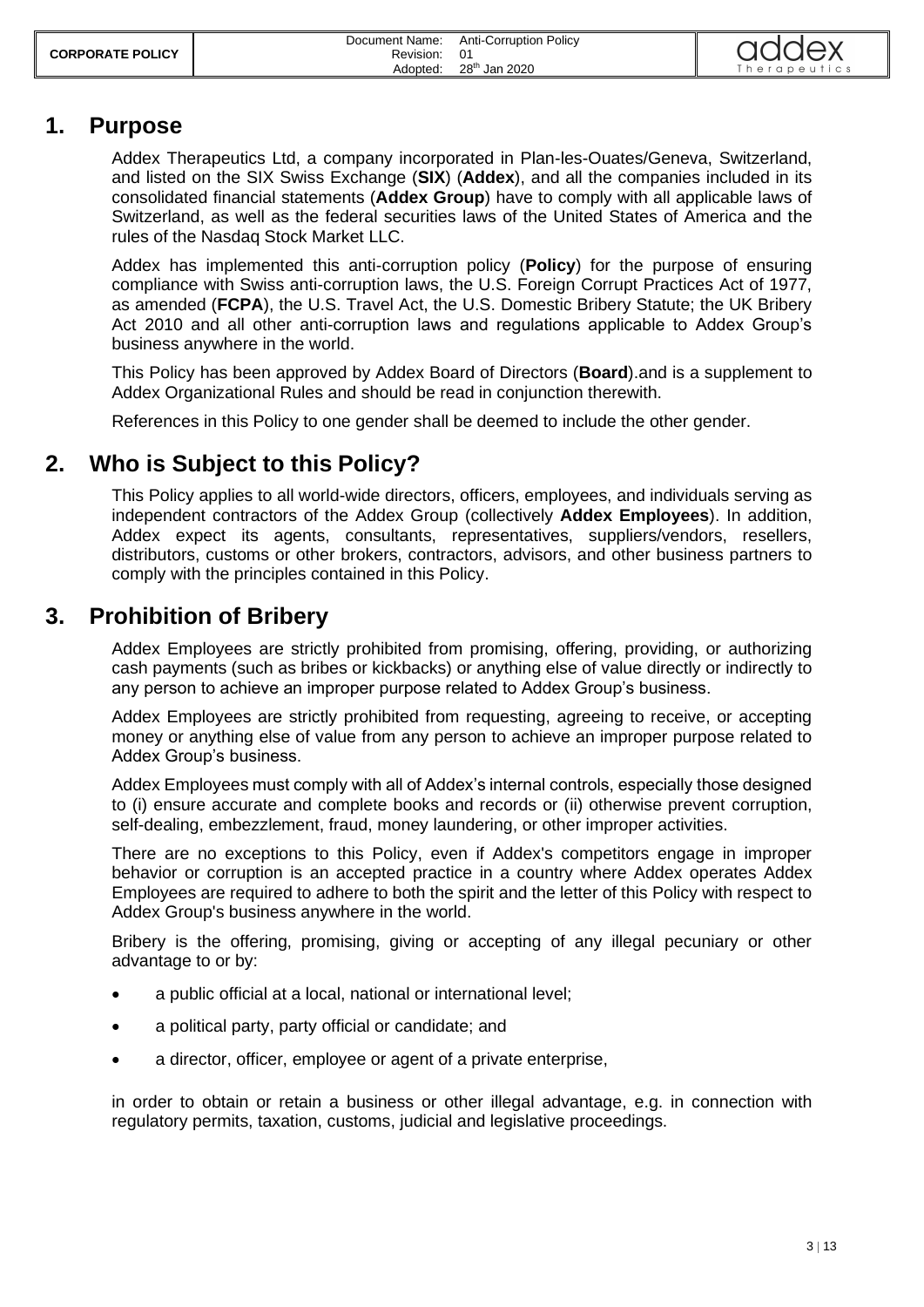| <b>CORPORATE POLICY</b> | Document Name:<br>Revision: | <b>Anti-Corruption Policy</b> | addex        |
|-------------------------|-----------------------------|-------------------------------|--------------|
|                         | Adopted:                    | 28 <sup>th</sup> Jan 2020     | Therapeutics |

#### <span id="page-2-0"></span>**1. Purpose**

Addex Therapeutics Ltd, a company incorporated in Plan-les-Ouates/Geneva, Switzerland, and listed on the SIX Swiss Exchange (**SIX**) (**Addex**), and all the companies included in its consolidated financial statements (**Addex Group**) have to comply with all applicable laws of Switzerland, as well as the federal securities laws of the United States of America and the rules of the Nasdaq Stock Market LLC.

Addex has implemented this anti-corruption policy (**Policy**) for the purpose of ensuring compliance with Swiss anti-corruption laws, the U.S. Foreign Corrupt Practices Act of 1977, as amended (**FCPA**), the U.S. Travel Act, the U.S. Domestic Bribery Statute; the UK Bribery Act 2010 and all other anti-corruption laws and regulations applicable to Addex Group's business anywhere in the world.

This Policy has been approved by Addex Board of Directors (**Board**).and is a supplement to Addex Organizational Rules and should be read in conjunction therewith.

<span id="page-2-1"></span>References in this Policy to one gender shall be deemed to include the other gender.

#### **2. Who is Subject to this Policy?**

This Policy applies to all world-wide directors, officers, employees, and individuals serving as independent contractors of the Addex Group (collectively **Addex Employees**). In addition, Addex expect its agents, consultants, representatives, suppliers/vendors, resellers, distributors, customs or other brokers, contractors, advisors, and other business partners to comply with the principles contained in this Policy.

#### <span id="page-2-2"></span>**3. Prohibition of Bribery**

Addex Employees are strictly prohibited from promising, offering, providing, or authorizing cash payments (such as bribes or kickbacks) or anything else of value directly or indirectly to any person to achieve an improper purpose related to Addex Group's business.

Addex Employees are strictly prohibited from requesting, agreeing to receive, or accepting money or anything else of value from any person to achieve an improper purpose related to Addex Group's business.

Addex Employees must comply with all of Addex's internal controls, especially those designed to (i) ensure accurate and complete books and records or (ii) otherwise prevent corruption, self-dealing, embezzlement, fraud, money laundering, or other improper activities.

There are no exceptions to this Policy, even if Addex's competitors engage in improper behavior or corruption is an accepted practice in a country where Addex operates Addex Employees are required to adhere to both the spirit and the letter of this Policy with respect to Addex Group's business anywhere in the world.

Bribery is the offering, promising, giving or accepting of any illegal pecuniary or other advantage to or by:

- a public official at a local, national or international level;
- a political party, party official or candidate; and
- a director, officer, employee or agent of a private enterprise,

in order to obtain or retain a business or other illegal advantage, e.g. in connection with regulatory permits, taxation, customs, judicial and legislative proceedings.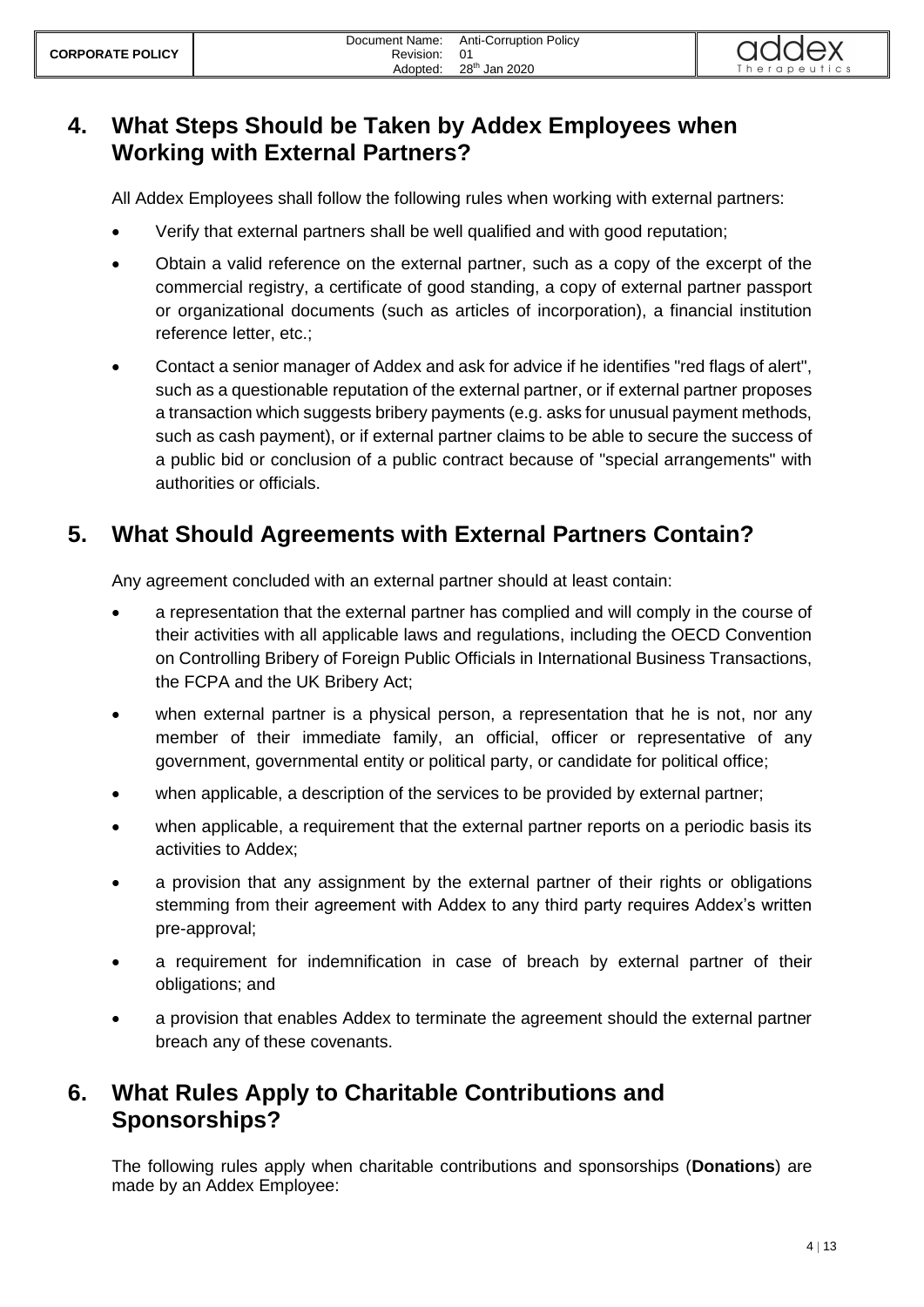## <span id="page-3-0"></span>**4. What Steps Should be Taken by Addex Employees when Working with External Partners?**

All Addex Employees shall follow the following rules when working with external partners:

- Verify that external partners shall be well qualified and with good reputation;
- Obtain a valid reference on the external partner, such as a copy of the excerpt of the commercial registry, a certificate of good standing, a copy of external partner passport or organizational documents (such as articles of incorporation), a financial institution reference letter, etc.;
- Contact a senior manager of Addex and ask for advice if he identifies "red flags of alert", such as a questionable reputation of the external partner, or if external partner proposes a transaction which suggests bribery payments (e.g. asks for unusual payment methods, such as cash payment), or if external partner claims to be able to secure the success of a public bid or conclusion of a public contract because of "special arrangements" with authorities or officials.

## <span id="page-3-1"></span>**5. What Should Agreements with External Partners Contain?**

Any agreement concluded with an external partner should at least contain:

- a representation that the external partner has complied and will comply in the course of their activities with all applicable laws and regulations, including the OECD Convention on Controlling Bribery of Foreign Public Officials in International Business Transactions, the FCPA and the UK Bribery Act;
- when external partner is a physical person, a representation that he is not, nor any member of their immediate family, an official, officer or representative of any government, governmental entity or political party, or candidate for political office;
- when applicable, a description of the services to be provided by external partner;
- when applicable, a requirement that the external partner reports on a periodic basis its activities to Addex;
- a provision that any assignment by the external partner of their rights or obligations stemming from their agreement with Addex to any third party requires Addex's written pre-approval;
- a requirement for indemnification in case of breach by external partner of their obligations; and
- a provision that enables Addex to terminate the agreement should the external partner breach any of these covenants.

## <span id="page-3-2"></span>**6. What Rules Apply to Charitable Contributions and Sponsorships?**

The following rules apply when charitable contributions and sponsorships (**Donations**) are made by an Addex Employee: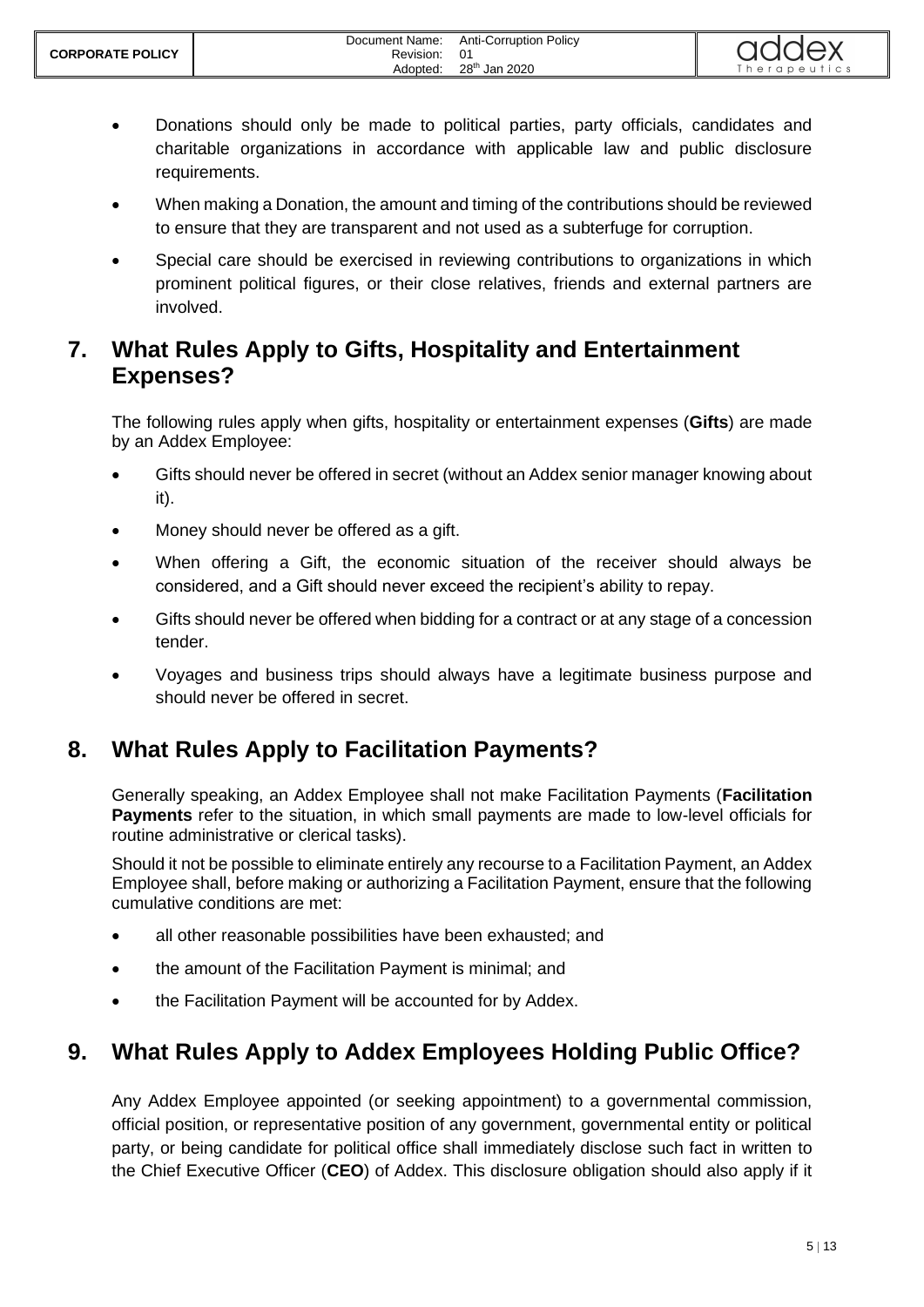- Donations should only be made to political parties, party officials, candidates and charitable organizations in accordance with applicable law and public disclosure requirements.
- When making a Donation, the amount and timing of the contributions should be reviewed to ensure that they are transparent and not used as a subterfuge for corruption.
- Special care should be exercised in reviewing contributions to organizations in which prominent political figures, or their close relatives, friends and external partners are involved.

# <span id="page-4-0"></span>**7. What Rules Apply to Gifts, Hospitality and Entertainment Expenses?**

The following rules apply when gifts, hospitality or entertainment expenses (**Gifts**) are made by an Addex Employee:

- Gifts should never be offered in secret (without an Addex senior manager knowing about it).
- Money should never be offered as a gift.
- When offering a Gift, the economic situation of the receiver should always be considered, and a Gift should never exceed the recipient's ability to repay.
- Gifts should never be offered when bidding for a contract or at any stage of a concession tender.
- Voyages and business trips should always have a legitimate business purpose and should never be offered in secret.

# <span id="page-4-1"></span>**8. What Rules Apply to Facilitation Payments?**

Generally speaking, an Addex Employee shall not make Facilitation Payments (**Facilitation Payments** refer to the situation, in which small payments are made to low-level officials for routine administrative or clerical tasks).

Should it not be possible to eliminate entirely any recourse to a Facilitation Payment, an Addex Employee shall, before making or authorizing a Facilitation Payment, ensure that the following cumulative conditions are met:

- all other reasonable possibilities have been exhausted; and
- the amount of the Facilitation Payment is minimal; and
- the Facilitation Payment will be accounted for by Addex.

# <span id="page-4-2"></span>**9. What Rules Apply to Addex Employees Holding Public Office?**

Any Addex Employee appointed (or seeking appointment) to a governmental commission, official position, or representative position of any government, governmental entity or political party, or being candidate for political office shall immediately disclose such fact in written to the Chief Executive Officer (**CEO**) of Addex. This disclosure obligation should also apply if it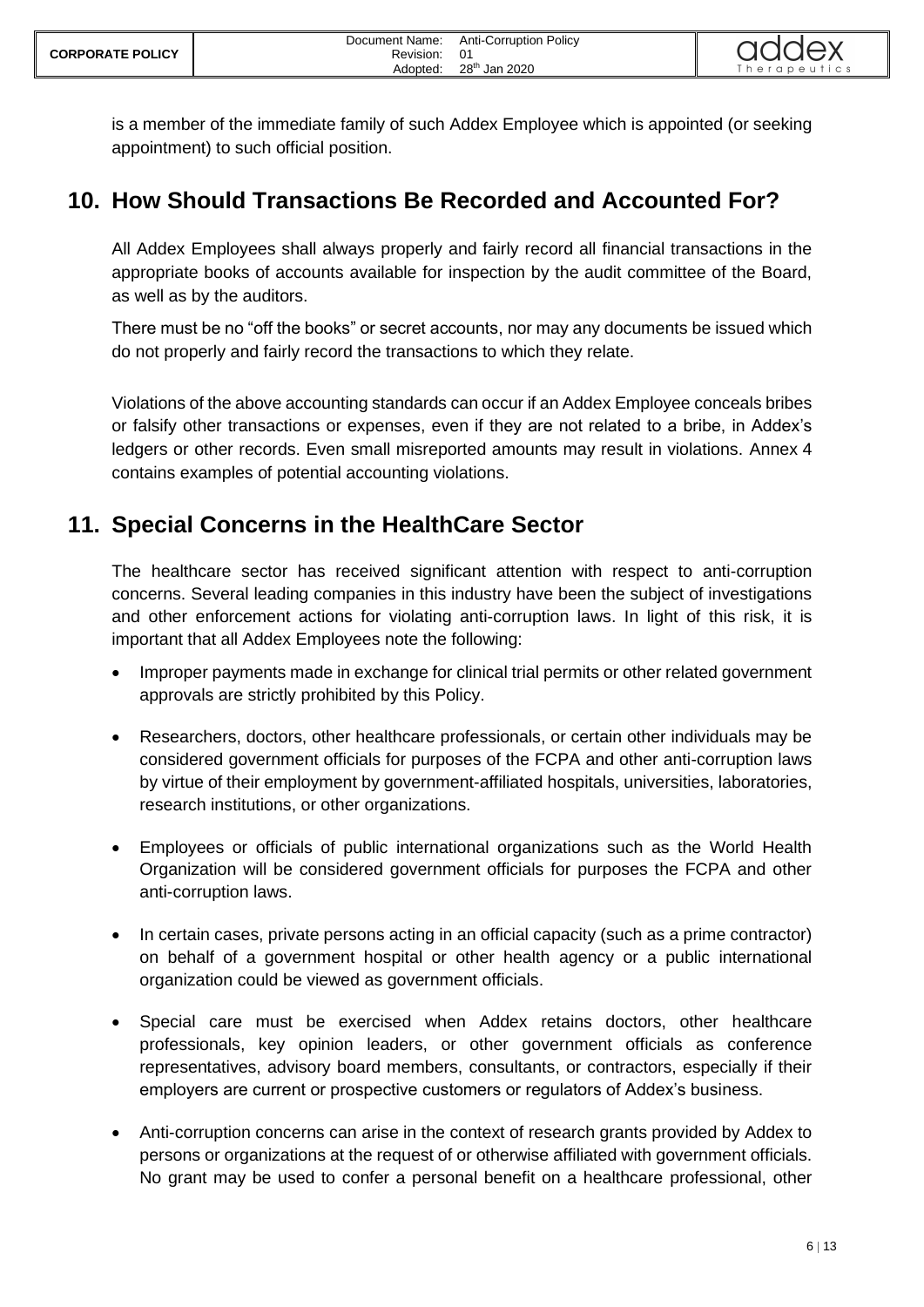

is a member of the immediate family of such Addex Employee which is appointed (or seeking appointment) to such official position.

## <span id="page-5-0"></span>**10. How Should Transactions Be Recorded and Accounted For?**

All Addex Employees shall always properly and fairly record all financial transactions in the appropriate books of accounts available for inspection by the audit committee of the Board, as well as by the auditors.

There must be no "off the books" or secret accounts, nor may any documents be issued which do not properly and fairly record the transactions to which they relate.

Violations of the above accounting standards can occur if an Addex Employee conceals bribes or falsify other transactions or expenses, even if they are not related to a bribe, in Addex's ledgers or other records. Even small misreported amounts may result in violations. Annex 4 contains examples of potential accounting violations.

## <span id="page-5-1"></span>**11. Special Concerns in the HealthCare Sector**

The healthcare sector has received significant attention with respect to anti-corruption concerns. Several leading companies in this industry have been the subject of investigations and other enforcement actions for violating anti-corruption laws. In light of this risk, it is important that all Addex Employees note the following:

- Improper payments made in exchange for clinical trial permits or other related government approvals are strictly prohibited by this Policy.
- Researchers, doctors, other healthcare professionals, or certain other individuals may be considered government officials for purposes of the FCPA and other anti-corruption laws by virtue of their employment by government-affiliated hospitals, universities, laboratories, research institutions, or other organizations.
- Employees or officials of public international organizations such as the World Health Organization will be considered government officials for purposes the FCPA and other anti-corruption laws.
- In certain cases, private persons acting in an official capacity (such as a prime contractor) on behalf of a government hospital or other health agency or a public international organization could be viewed as government officials.
- Special care must be exercised when Addex retains doctors, other healthcare professionals, key opinion leaders, or other government officials as conference representatives, advisory board members, consultants, or contractors, especially if their employers are current or prospective customers or regulators of Addex's business.
- Anti-corruption concerns can arise in the context of research grants provided by Addex to persons or organizations at the request of or otherwise affiliated with government officials. No grant may be used to confer a personal benefit on a healthcare professional, other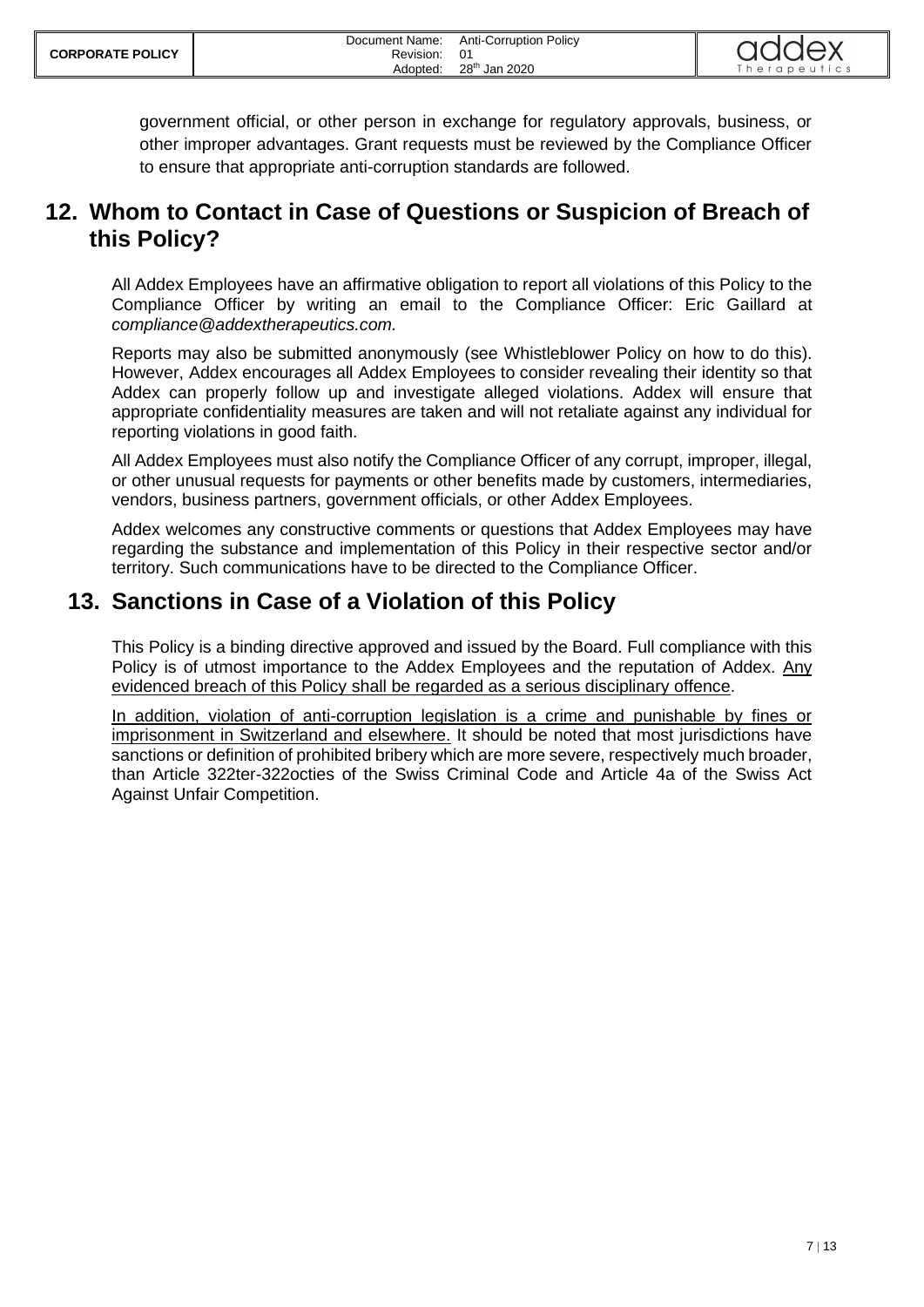government official, or other person in exchange for regulatory approvals, business, or other improper advantages. Grant requests must be reviewed by the Compliance Officer to ensure that appropriate anti-corruption standards are followed.

#### <span id="page-6-0"></span>**12. Whom to Contact in Case of Questions or Suspicion of Breach of this Policy?**

All Addex Employees have an affirmative obligation to report all violations of this Policy to the Compliance Officer by writing an email to the Compliance Officer: Eric Gaillard at *compliance@addextherapeutics.com.*

Reports may also be submitted anonymously (see Whistleblower Policy on how to do this). However, Addex encourages all Addex Employees to consider revealing their identity so that Addex can properly follow up and investigate alleged violations. Addex will ensure that appropriate confidentiality measures are taken and will not retaliate against any individual for reporting violations in good faith.

All Addex Employees must also notify the Compliance Officer of any corrupt, improper, illegal, or other unusual requests for payments or other benefits made by customers, intermediaries, vendors, business partners, government officials, or other Addex Employees.

Addex welcomes any constructive comments or questions that Addex Employees may have regarding the substance and implementation of this Policy in their respective sector and/or territory. Such communications have to be directed to the Compliance Officer.

#### <span id="page-6-1"></span>**13. Sanctions in Case of a Violation of this Policy**

This Policy is a binding directive approved and issued by the Board. Full compliance with this Policy is of utmost importance to the Addex Employees and the reputation of Addex. Any evidenced breach of this Policy shall be regarded as a serious disciplinary offence.

In addition, violation of anti-corruption legislation is a crime and punishable by fines or imprisonment in Switzerland and elsewhere. It should be noted that most jurisdictions have sanctions or definition of prohibited bribery which are more severe, respectively much broader, than Article 322ter-322octies of the Swiss Criminal Code and Article 4a of the Swiss Act Against Unfair Competition.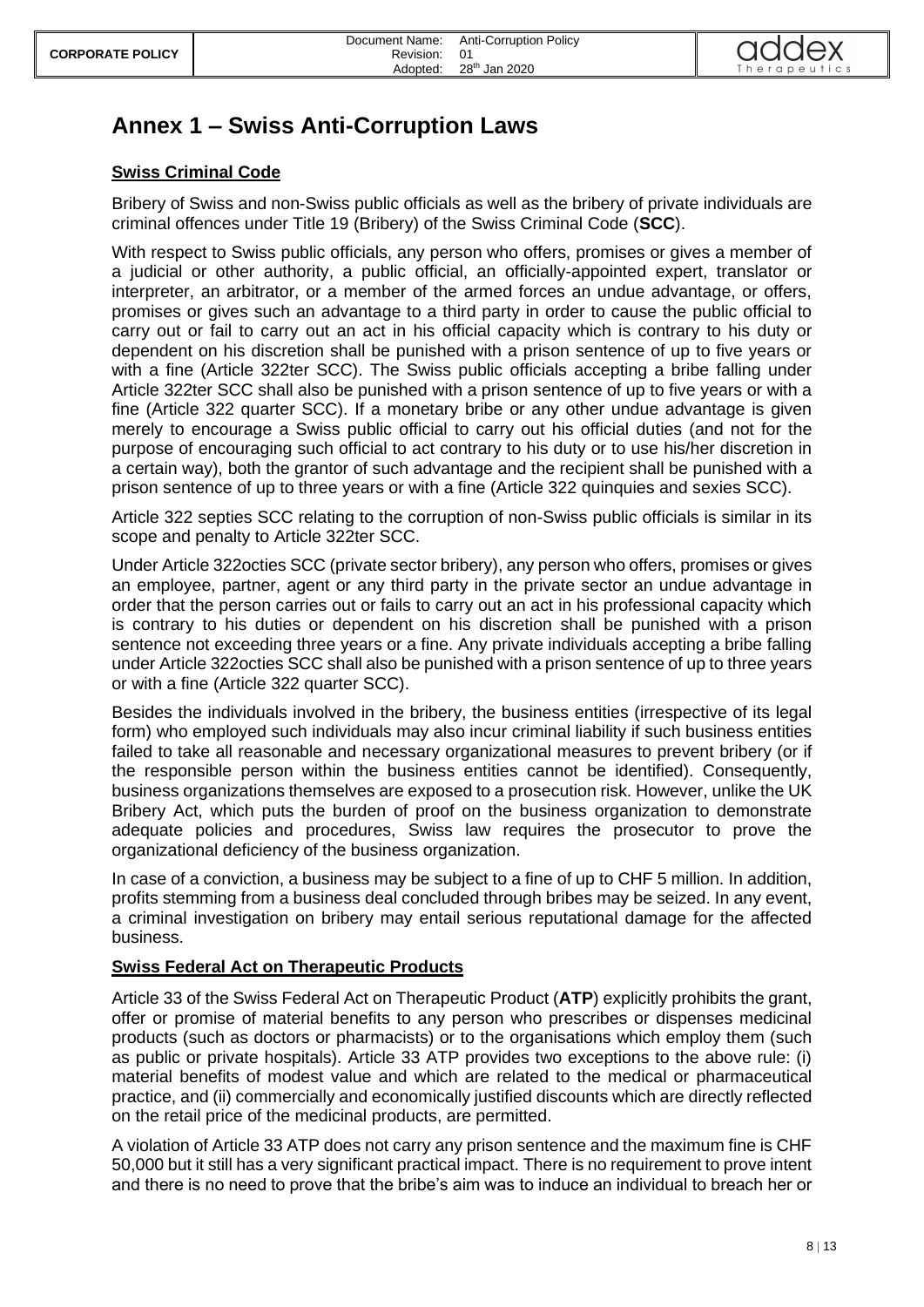

# <span id="page-7-0"></span>**Annex 1 – Swiss Anti-Corruption Laws**

#### **Swiss Criminal Code**

Bribery of Swiss and non-Swiss public officials as well as the bribery of private individuals are criminal offences under Title 19 (Bribery) of the Swiss Criminal Code (**SCC**).

With respect to Swiss public officials, any person who offers, promises or gives a member of a judicial or other authority, a public official, an officially-appointed expert, translator or interpreter, an arbitrator, or a member of the armed forces an undue advantage, or offers, promises or gives such an advantage to a third party in order to cause the public official to carry out or fail to carry out an act in his official capacity which is contrary to his duty or dependent on his discretion shall be punished with a prison sentence of up to five years or with a fine (Article 322ter SCC). The Swiss public officials accepting a bribe falling under Article 322ter SCC shall also be punished with a prison sentence of up to five years or with a fine (Article 322 quarter SCC). If a monetary bribe or any other undue advantage is given merely to encourage a Swiss public official to carry out his official duties (and not for the purpose of encouraging such official to act contrary to his duty or to use his/her discretion in a certain way), both the grantor of such advantage and the recipient shall be punished with a prison sentence of up to three years or with a fine (Article 322 quinquies and sexies SCC).

Article 322 septies SCC relating to the corruption of non-Swiss public officials is similar in its scope and penalty to Article 322ter SCC.

Under Article 322octies SCC (private sector bribery), any person who offers, promises or gives an employee, partner, agent or any third party in the private sector an undue advantage in order that the person carries out or fails to carry out an act in his professional capacity which is contrary to his duties or dependent on his discretion shall be punished with a prison sentence not exceeding three years or a fine. Any private individuals accepting a bribe falling under Article 322octies SCC shall also be punished with a prison sentence of up to three years or with a fine (Article 322 quarter SCC).

Besides the individuals involved in the bribery, the business entities (irrespective of its legal form) who employed such individuals may also incur criminal liability if such business entities failed to take all reasonable and necessary organizational measures to prevent bribery (or if the responsible person within the business entities cannot be identified). Consequently, business organizations themselves are exposed to a prosecution risk. However, unlike the UK Bribery Act, which puts the burden of proof on the business organization to demonstrate adequate policies and procedures, Swiss law requires the prosecutor to prove the organizational deficiency of the business organization.

In case of a conviction, a business may be subject to a fine of up to CHF 5 million. In addition, profits stemming from a business deal concluded through bribes may be seized. In any event, a criminal investigation on bribery may entail serious reputational damage for the affected business.

#### **Swiss Federal Act on Therapeutic Products**

Article 33 of the Swiss Federal Act on Therapeutic Product (**ATP**) explicitly prohibits the grant, offer or promise of material benefits to any person who prescribes or dispenses medicinal products (such as doctors or pharmacists) or to the organisations which employ them (such as public or private hospitals). Article 33 ATP provides two exceptions to the above rule: (i) material benefits of modest value and which are related to the medical or pharmaceutical practice, and (ii) commercially and economically justified discounts which are directly reflected on the retail price of the medicinal products, are permitted.

A violation of Article 33 ATP does not carry any prison sentence and the maximum fine is CHF 50,000 but it still has a very significant practical impact. There is no requirement to prove intent and there is no need to prove that the bribe's aim was to induce an individual to breach her or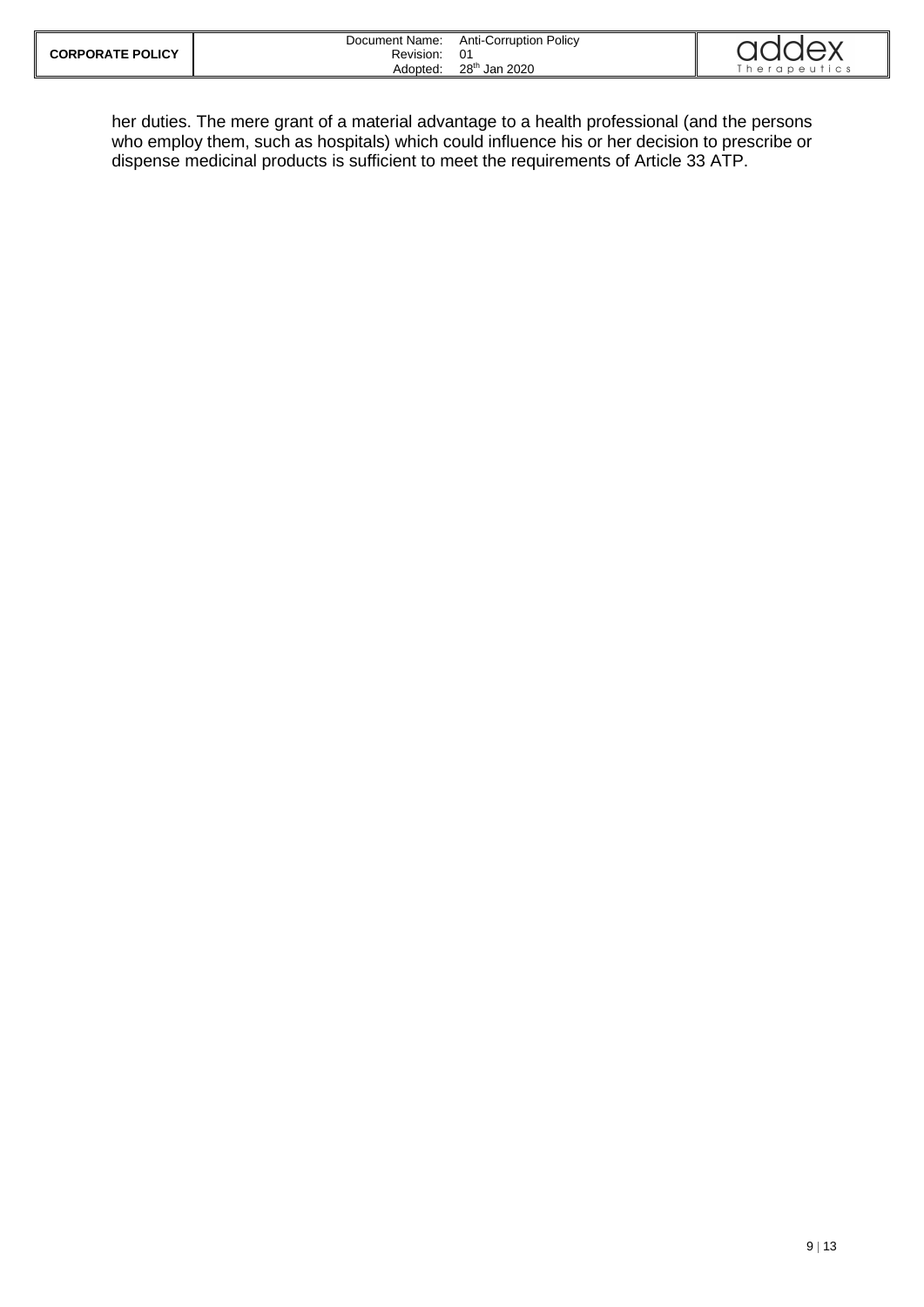| <b>CORPORATE POLICY</b> | Document Name:<br>Revision: | Anti-Corruption Policy    | addex        |
|-------------------------|-----------------------------|---------------------------|--------------|
|                         | Adopted:                    | 28 <sup>th</sup> Jan 2020 | `herapeutics |

her duties. The mere grant of a material advantage to a health professional (and the persons who employ them, such as hospitals) which could influence his or her decision to prescribe or dispense medicinal products is sufficient to meet the requirements of Article 33 ATP.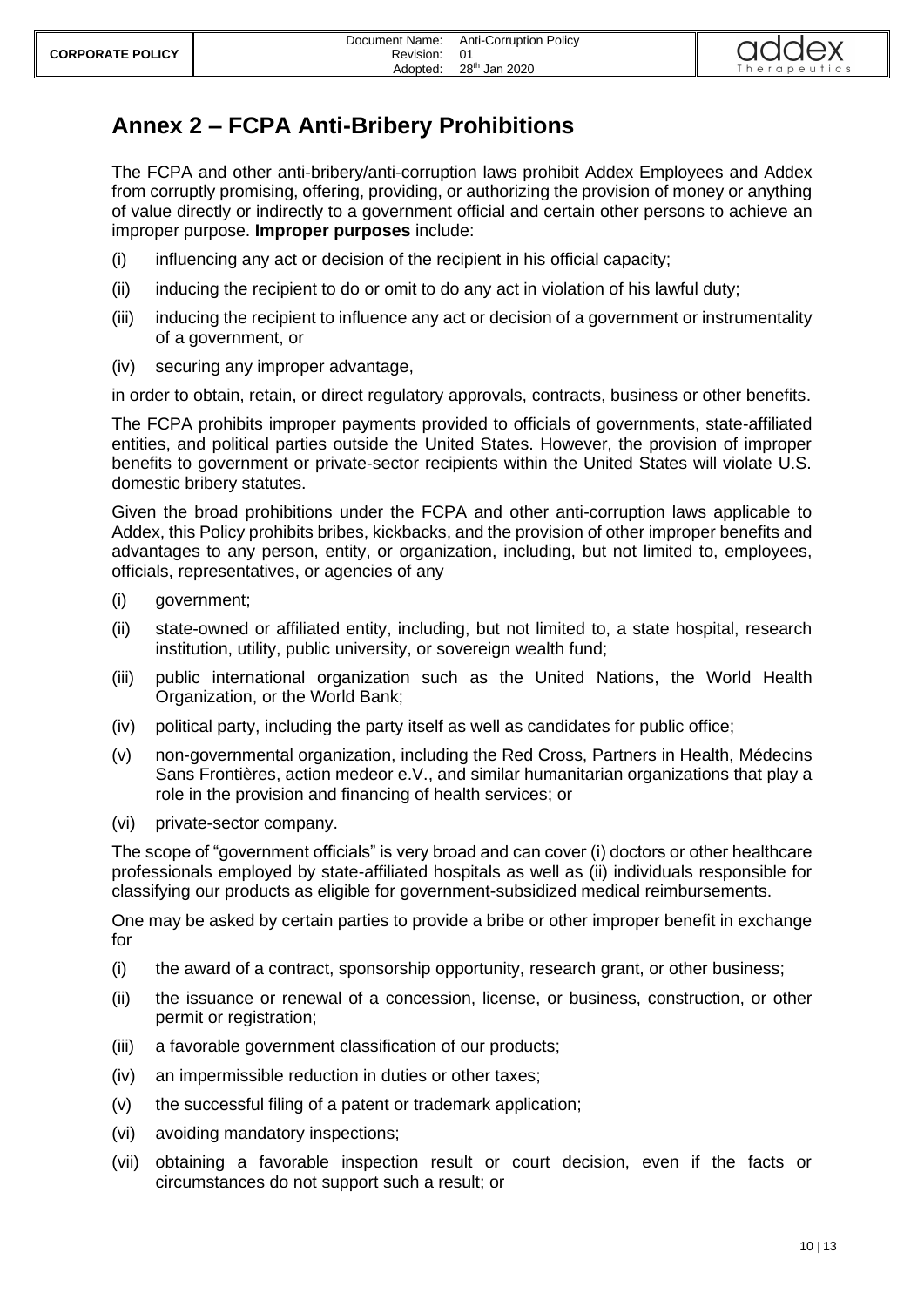

# <span id="page-9-0"></span>**Annex 2 – FCPA Anti-Bribery Prohibitions**

The FCPA and other anti-bribery/anti-corruption laws prohibit Addex Employees and Addex from corruptly promising, offering, providing, or authorizing the provision of money or anything of value directly or indirectly to a government official and certain other persons to achieve an improper purpose. **Improper purposes** include:

- (i) influencing any act or decision of the recipient in his official capacity;
- (ii) inducing the recipient to do or omit to do any act in violation of his lawful duty;
- (iii) inducing the recipient to influence any act or decision of a government or instrumentality of a government, or
- (iv) securing any improper advantage,

in order to obtain, retain, or direct regulatory approvals, contracts, business or other benefits.

The FCPA prohibits improper payments provided to officials of governments, state-affiliated entities, and political parties outside the United States. However, the provision of improper benefits to government or private-sector recipients within the United States will violate U.S. domestic bribery statutes.

Given the broad prohibitions under the FCPA and other anti-corruption laws applicable to Addex, this Policy prohibits bribes, kickbacks, and the provision of other improper benefits and advantages to any person, entity, or organization, including, but not limited to, employees, officials, representatives, or agencies of any

- (i) government;
- (ii) state-owned or affiliated entity, including, but not limited to, a state hospital, research institution, utility, public university, or sovereign wealth fund;
- (iii) public international organization such as the United Nations, the World Health Organization, or the World Bank;
- (iv) political party, including the party itself as well as candidates for public office;
- (v) non-governmental organization, including the Red Cross, Partners in Health, Médecins Sans Frontières, action medeor e.V., and similar humanitarian organizations that play a role in the provision and financing of health services; or
- (vi) private-sector company.

The scope of "government officials" is very broad and can cover (i) doctors or other healthcare professionals employed by state-affiliated hospitals as well as (ii) individuals responsible for classifying our products as eligible for government-subsidized medical reimbursements.

One may be asked by certain parties to provide a bribe or other improper benefit in exchange for

- (i) the award of a contract, sponsorship opportunity, research grant, or other business;
- (ii) the issuance or renewal of a concession, license, or business, construction, or other permit or registration;
- (iii) a favorable government classification of our products;
- (iv) an impermissible reduction in duties or other taxes;
- (v) the successful filing of a patent or trademark application;
- (vi) avoiding mandatory inspections;
- (vii) obtaining a favorable inspection result or court decision, even if the facts or circumstances do not support such a result; or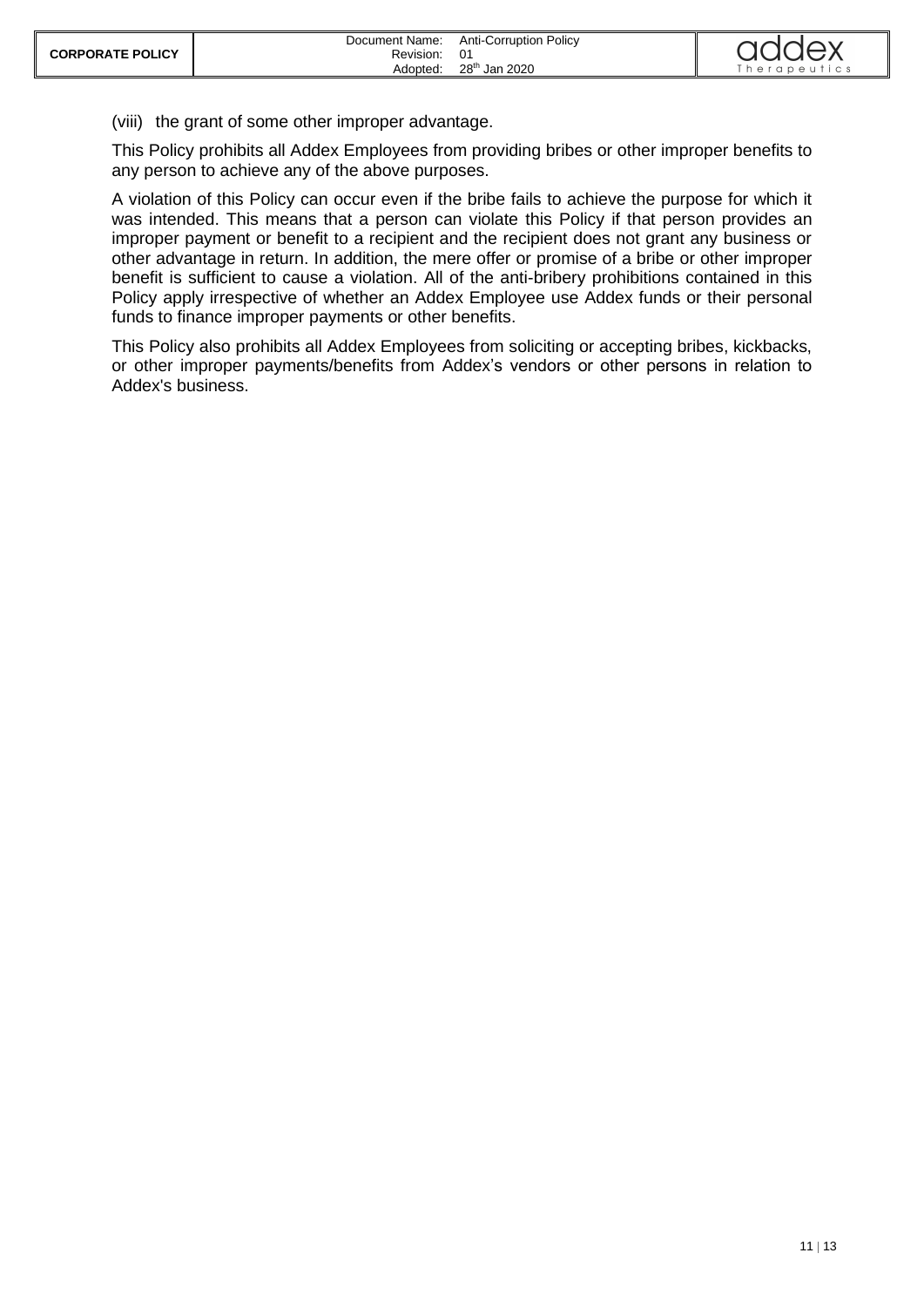(viii) the grant of some other improper advantage.

This Policy prohibits all Addex Employees from providing bribes or other improper benefits to any person to achieve any of the above purposes.

A violation of this Policy can occur even if the bribe fails to achieve the purpose for which it was intended. This means that a person can violate this Policy if that person provides an improper payment or benefit to a recipient and the recipient does not grant any business or other advantage in return. In addition, the mere offer or promise of a bribe or other improper benefit is sufficient to cause a violation. All of the anti-bribery prohibitions contained in this Policy apply irrespective of whether an Addex Employee use Addex funds or their personal funds to finance improper payments or other benefits.

This Policy also prohibits all Addex Employees from soliciting or accepting bribes, kickbacks, or other improper payments/benefits from Addex's vendors or other persons in relation to Addex's business.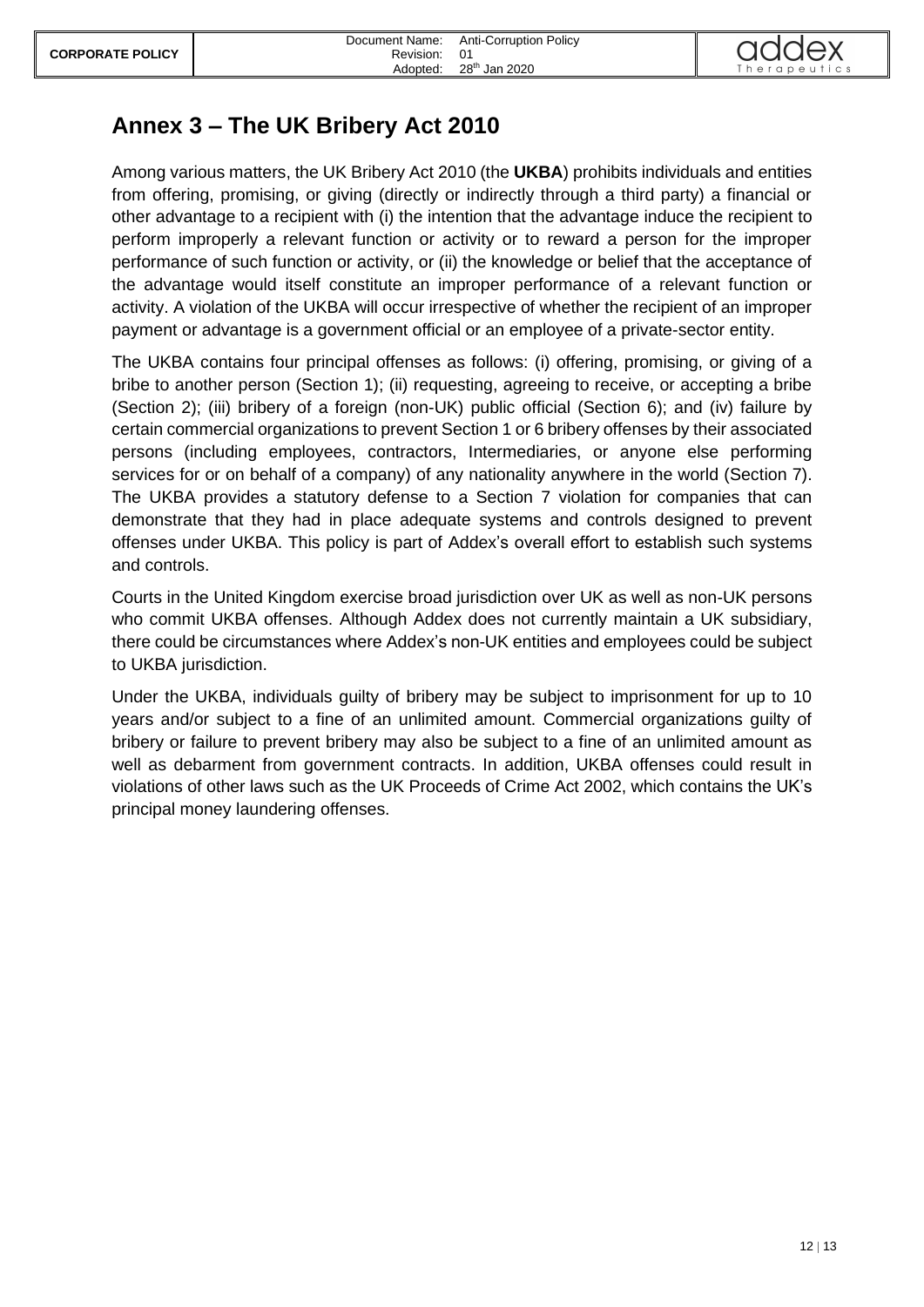

# <span id="page-11-0"></span>**Annex 3 – The UK Bribery Act 2010**

Among various matters, the UK Bribery Act 2010 (the **UKBA**) prohibits individuals and entities from offering, promising, or giving (directly or indirectly through a third party) a financial or other advantage to a recipient with (i) the intention that the advantage induce the recipient to perform improperly a relevant function or activity or to reward a person for the improper performance of such function or activity, or (ii) the knowledge or belief that the acceptance of the advantage would itself constitute an improper performance of a relevant function or activity. A violation of the UKBA will occur irrespective of whether the recipient of an improper payment or advantage is a government official or an employee of a private-sector entity.

The UKBA contains four principal offenses as follows: (i) offering, promising, or giving of a bribe to another person (Section 1); (ii) requesting, agreeing to receive, or accepting a bribe (Section 2); (iii) bribery of a foreign (non-UK) public official (Section 6); and (iv) failure by certain commercial organizations to prevent Section 1 or 6 bribery offenses by their associated persons (including employees, contractors, Intermediaries, or anyone else performing services for or on behalf of a company) of any nationality anywhere in the world (Section 7). The UKBA provides a statutory defense to a Section 7 violation for companies that can demonstrate that they had in place adequate systems and controls designed to prevent offenses under UKBA. This policy is part of Addex's overall effort to establish such systems and controls.

Courts in the United Kingdom exercise broad jurisdiction over UK as well as non-UK persons who commit UKBA offenses. Although Addex does not currently maintain a UK subsidiary, there could be circumstances where Addex's non-UK entities and employees could be subject to UKBA jurisdiction.

Under the UKBA, individuals guilty of bribery may be subject to imprisonment for up to 10 years and/or subject to a fine of an unlimited amount. Commercial organizations guilty of bribery or failure to prevent bribery may also be subject to a fine of an unlimited amount as well as debarment from government contracts. In addition, UKBA offenses could result in violations of other laws such as the UK Proceeds of Crime Act 2002, which contains the UK's principal money laundering offenses.